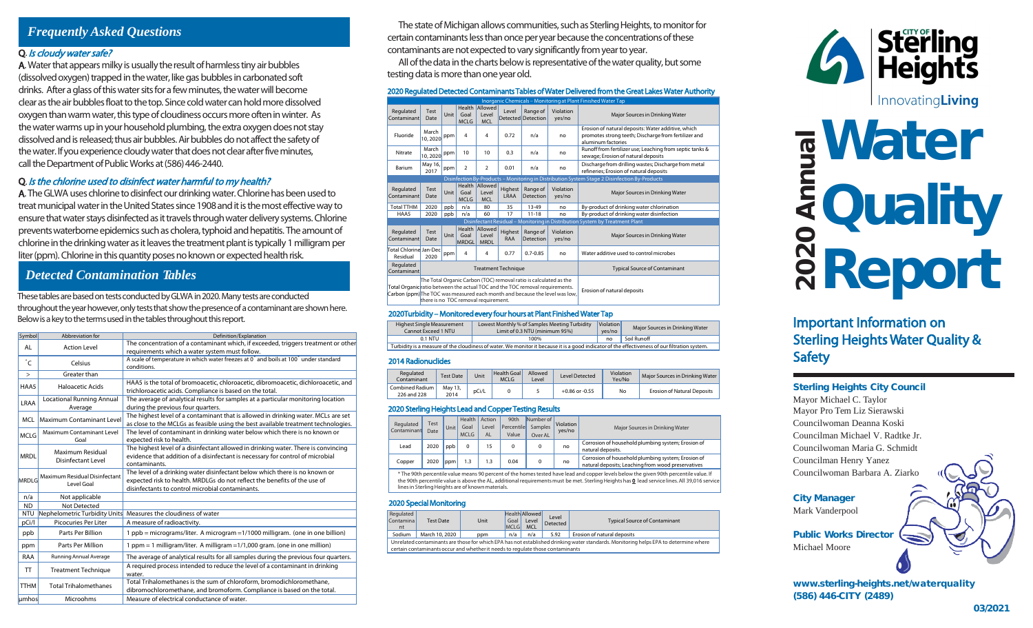# *Frequently Asked Questions*

## Q. Is cloudy water safe?

A. Water that appears milky is usually the result of harmless tiny air bubbles (dissolved oxygen) trapped in the water, like gas bubbles in carbonated soft drinks. After a glass of this water sits for afew minutes, the water will become clear as the air bubbles float to the top. Since cold water can hold more dissolved oxygen than warm water, this type of cloudiness occurs more often in winter. As the water warms up in your household plumbing, the extra oxygen does not stay dissolved and is released; thus air bubbles. Air bubbles do not affect the safety of the water. If you experience cloudy water that does not clear after five minutes, call the Department of Public Works at (586) 446-2440.

## Q. Is the chlorine used to disinfect water harmful to my health?

A. The GLWA uses chlorine to disinfect our drinking water. Chlorine has been used to treat municipal water in the United States since 1908 and it is the most effective way to ensure that water stays disinfected as it travels through water delivery systems. Chlorine preventswaterborne epidemics such as cholera, typhoid and hepatitis. The amount of chlorine in the drinking water as it leaves the treatment plant is typically 1 milligram per liter (ppm). Chlorine in this quantity poses no known or expected health risk.

## *Detected Contamination Tables*

These tables are based on tests conducted by GLWA in 2020. Many tests are conducted throughout the year however, only tests that show the presence of a contaminant are shown here. Below is a key to the terms used in the tables throughout this report.

| Symbol      | Abbreviation for                            | Definition/Explanation                                                                                                                                                                                       |  |  |  |  |  |
|-------------|---------------------------------------------|--------------------------------------------------------------------------------------------------------------------------------------------------------------------------------------------------------------|--|--|--|--|--|
| AL          | <b>Action Level</b>                         | The concentration of a contaminant which, if exceeded, triggers treatment or other<br>requirements which a water system must follow.                                                                         |  |  |  |  |  |
| °C          | Celsius                                     | A scale of temperature in which water freezes at 0° and boils at 100° under standard<br>conditions.                                                                                                          |  |  |  |  |  |
| $\, >$      | Greater than                                |                                                                                                                                                                                                              |  |  |  |  |  |
| HAA5        | Haloacetic Acids                            | HAA5 is the total of bromoacetic, chloroacetic, dibromoacetic, dichloroacetic, and<br>trichloroacetic acids. Compliance is based on the total.                                                               |  |  |  |  |  |
| LRAA        | <b>Locational Running Annual</b><br>Average | The average of analytical results for samples at a particular monitoring location<br>during the previous four quarters.                                                                                      |  |  |  |  |  |
| <b>MCL</b>  | <b>Maximum Contaminant Level</b>            | The highest level of a contaminant that is allowed in drinking water. MCLs are set<br>as close to the MCLGs as feasible using the best available treatment technologies.                                     |  |  |  |  |  |
| <b>MCLG</b> | Maximum Contaminant Level<br>Goal           | The level of contaminant in drinking water below which there is no known or<br>expected risk to health.                                                                                                      |  |  |  |  |  |
| <b>MRDL</b> | Maximum Residual<br>Disinfectant Level      | The highest level of a disinfectant allowed in drinking water. There is convincing<br>evidence that addition of a disinfectant is necessary for control of microbial<br>contaminants.                        |  |  |  |  |  |
| MRDLG       | Maximum Residual Disinfectant<br>Level Goal | The level of a drinking water disinfectant below which there is no known or<br>expected risk to health. MRDLGs do not reflect the benefits of the use of<br>disinfectants to control microbial contaminants. |  |  |  |  |  |
| n/a         | Not applicable                              |                                                                                                                                                                                                              |  |  |  |  |  |
| <b>ND</b>   | Not Detected                                |                                                                                                                                                                                                              |  |  |  |  |  |
| <b>NTU</b>  | Nephelometric Turbidity Units               | Measures the cloudiness of water                                                                                                                                                                             |  |  |  |  |  |
| pCi/l       | Picocuries Per Liter                        | A measure of radioactivity.                                                                                                                                                                                  |  |  |  |  |  |
| ppb         | Parts Per Billion                           | 1 ppb = micrograms/liter. A microgram = 1/1000 milligram. (one in one billion)                                                                                                                               |  |  |  |  |  |
| ppm         | Parts Per Million                           | 1 ppm = 1 milligram/liter. A milligram = 1/1,000 gram. (one in one million)                                                                                                                                  |  |  |  |  |  |
| RAA         | Running Annual Average                      | The average of analytical results for all samples during the previous four quarters.                                                                                                                         |  |  |  |  |  |
| π           | <b>Treatment Technique</b>                  | A required process intended to reduce the level of a contaminant in drinking<br>water.                                                                                                                       |  |  |  |  |  |
| <b>TTHM</b> | <b>Total Trihalomethanes</b>                | Total Trihalomethanes is the sum of chloroform, bromodichloromethane,<br>dibromochloromethane, and bromoform. Compliance is based on the total.                                                              |  |  |  |  |  |
| umhos       | Microohms                                   | Measure of electrical conductance of water.                                                                                                                                                                  |  |  |  |  |  |

The state of Michigan allows communities, such as Sterling Heights, to monitor for certain contaminants less than once per year because the concentrations of these contaminants are not expected to vary significantly from year to year.

All of the data in the charts below is representative of the water quality, but some testing data is more than one year old.

#### 2020 Regulated Detected Contaminants Tables of Water Delivered from the Great Lakes Water Authority

|                                                                                                                                                                                                                                                                                     | Inorganic Chemicals - Monitoring at Plant Finished Water Tap |      |                      |                                        |                 |                                                       |                                      |                                                                                                                                  |  |  |  |
|-------------------------------------------------------------------------------------------------------------------------------------------------------------------------------------------------------------------------------------------------------------------------------------|--------------------------------------------------------------|------|----------------------|----------------------------------------|-----------------|-------------------------------------------------------|--------------------------------------|----------------------------------------------------------------------------------------------------------------------------------|--|--|--|
| Regulated<br>Contaminant                                                                                                                                                                                                                                                            | Test<br>Date                                                 | Unit | Goal<br><b>MCLG</b>  | Health Allowed<br>Level<br><b>MCL</b>  | Level           | Violation<br>Range of<br>Detected Detection<br>yes/no |                                      | Major Sources in Drinking Water                                                                                                  |  |  |  |
| Fluoride                                                                                                                                                                                                                                                                            | March<br>10,2020                                             | ppm  | 4                    | 4                                      | 0.72            | n/a                                                   | no                                   | Erosion of natural deposits: Water additive, which<br>promotes strong teeth; Discharge from fertilizer and<br>aluminum factories |  |  |  |
| Nitrate                                                                                                                                                                                                                                                                             | March<br>10,2020                                             | ppm  | 10                   | 10                                     | 0.3             | n/a                                                   | no                                   | Runoff from fertilizer use; Leaching from septic tanks &<br>sewage; Erosion of natural deposits                                  |  |  |  |
| Barium                                                                                                                                                                                                                                                                              | May 16,<br>2017                                              | ppm  | $\overline{2}$       | $\overline{2}$                         | 0.01            | n/a                                                   | no                                   | Discharge from drilling wastes; Discharge from metal<br>refineries; Erosion of natural deposits                                  |  |  |  |
|                                                                                                                                                                                                                                                                                     |                                                              |      |                      |                                        |                 |                                                       |                                      | Disinfection By-Products - Monitoring in Distribution System Stage 2 Disinfection By-Products                                    |  |  |  |
| Regulated<br>Contaminant                                                                                                                                                                                                                                                            | Test<br>Date                                                 | Unit | Goal<br><b>MCLG</b>  | Health Allowed<br>Level<br><b>MCL</b>  | Highest<br>LRAA | Range of<br>Detection                                 | Violation<br>ves/no                  | Major Sources in Drinking Water                                                                                                  |  |  |  |
| <b>Total TTHM</b>                                                                                                                                                                                                                                                                   | 2020                                                         | ppb  | n/a                  | 80                                     | 35              | 13-49                                                 | no                                   | By-product of drinking water chlorination                                                                                        |  |  |  |
| HAA5                                                                                                                                                                                                                                                                                | 2020                                                         | ppb  | n/a                  | 60                                     | 17              | $11 - 18$<br>no                                       |                                      | By-product of drinking water disinfection                                                                                        |  |  |  |
|                                                                                                                                                                                                                                                                                     |                                                              |      |                      |                                        |                 |                                                       |                                      | Disinfectant Residual - Monitoring in Distribution System by Treatment Plant                                                     |  |  |  |
| Regulated<br>Contaminant                                                                                                                                                                                                                                                            | Test<br>Date                                                 | Unit | Goal<br><b>MRDGL</b> | Health Allowed<br>Level<br><b>MRDL</b> | Highest<br>RAA  | Range of<br>Detection                                 | Violation<br>yes/no                  | Major Sources in Drinking Water                                                                                                  |  |  |  |
| Total Chlorine Jan-Dec<br>Residual                                                                                                                                                                                                                                                  | 2020                                                         | ppm  | 4                    | 4                                      | 0.77            | $0.7 - 0.85$                                          | no                                   | Water additive used to control microbes                                                                                          |  |  |  |
| Regulated<br><b>Treatment Technique</b><br>Contaminant                                                                                                                                                                                                                              |                                                              |      |                      |                                        |                 |                                                       | <b>Typical Source of Contaminant</b> |                                                                                                                                  |  |  |  |
| The Total Organic Carbon (TOC) removal ratio is calculated as the<br>Total Organic ratio between the actual TOC and the TOC removal requirements.<br>Carbon (ppm) <sup>The TOC</sup> was measured each month and because the level was low,<br>there is no TOC removal requirement. |                                                              |      |                      |                                        |                 |                                                       |                                      | Erosion of natural deposits                                                                                                      |  |  |  |

#### 2020Turbidity – Monitored every four hours at Plant Finished Water Tap

| <b>Highest Single Measurement</b><br>Cannot Exceed 1 NTU                                                                                       | Lowest Monthly % of Samples Meeting Turbidity<br>Limit of 0.3 NTU (minimum 95%) | Violation<br>ves/no | Maior Sources in Drinking Water |  |  |  |  |  |
|------------------------------------------------------------------------------------------------------------------------------------------------|---------------------------------------------------------------------------------|---------------------|---------------------------------|--|--|--|--|--|
| $0.1$ NTU                                                                                                                                      | Soil Runoff                                                                     |                     |                                 |  |  |  |  |  |
| Turbidity is a measure of the cloudiness of water. We monitor it because it is a good indicator of the effectiveness of our filtration system. |                                                                                 |                     |                                 |  |  |  |  |  |

#### 2014 Radionuclides

| Regulated<br>Contaminant       | <b>Test Date</b> | Unit  | Health Goal<br>MCLG | Allowed<br>evel | Level Detected     | Violation<br>Yes/No | Maior Sources in Drinking Water    |
|--------------------------------|------------------|-------|---------------------|-----------------|--------------------|---------------------|------------------------------------|
| Combined Radium<br>226 and 228 | May 13,<br>2014  | pCi/L |                     |                 | $+0.86$ or $-0.55$ | No                  | <b>Erosion of Natural Deposits</b> |

#### 2020 Sterling Heights Lead and Copper Testing Results

| Regulated<br>Contaminant                                                                                                                                                                                                                                                                                                                     | Test<br>Date | Unit | Health<br>Goal<br><b>MCLG</b> | Action<br>Level<br>AI | 90 <sub>th</sub><br>Percentile<br>Value | Number of<br>Samples<br>Over AL | Violation<br>yes/no | Major Sources in Drinking Water                                                                          |  |  |
|----------------------------------------------------------------------------------------------------------------------------------------------------------------------------------------------------------------------------------------------------------------------------------------------------------------------------------------------|--------------|------|-------------------------------|-----------------------|-----------------------------------------|---------------------------------|---------------------|----------------------------------------------------------------------------------------------------------|--|--|
| Lead                                                                                                                                                                                                                                                                                                                                         | 2020         | ppb  | $\Omega$                      | 15                    | 0                                       | 0                               | no                  | Corrosion of household plumbing system; Erosion of<br>natural deposits.                                  |  |  |
| Copper                                                                                                                                                                                                                                                                                                                                       | 2020         | ppm  | 1.3                           | 1.3                   | 0.04                                    | 0                               | no                  | Corrosion of household plumbing system; Erosion of<br>natural deposits; Leaching from wood preservatives |  |  |
| * The 90th percentile value means 90 percent of the homes tested have lead and copper levels below the given 90th percentile value. If<br>the 90th percentile value is above the AL, additional requirements must be met. Sterling Heights has 0 lead service lines. All 39,016 service<br>lines in Sterling Heights are of known materials. |              |      |                               |                       |                                         |                                 |                     |                                                                                                          |  |  |

#### 2020 Special Monitoring

| Regulated<br>Contaminal<br>nt                                                                                                                                                                                          | <b>Test Date</b>                                                           | Unit | Goal  <br><b>MCLG</b> | Health Allowed<br>Level<br>MCL | Level<br>Detected | <b>Typical Source of Contaminant</b> |  |  |  |  |
|------------------------------------------------------------------------------------------------------------------------------------------------------------------------------------------------------------------------|----------------------------------------------------------------------------|------|-----------------------|--------------------------------|-------------------|--------------------------------------|--|--|--|--|
| Sodium                                                                                                                                                                                                                 | March 10, 2020<br>Erosion of natural deposits<br>5.92<br>n/a<br>n/a<br>ppm |      |                       |                                |                   |                                      |  |  |  |  |
| Unrelated contaminants are those for which EPA has not established drinking water standards. Monitoring helps EPA to determine where<br>certain contaminants occur and whether it needs to regulate those contaminants |                                                                            |      |                       |                                |                   |                                      |  |  |  |  |



# **Water Quality** Report Safety<br>Safety

Important Information on Sterling Heights Water Quality & **Safety** 

### Sterling Heights City Council

Mayor Michael C. Taylor Mayor Pro Tem Liz Sierawski Councilwoman Deanna Koski Councilman Michael V. Radtke Jr. Councilwoman Maria G. Schmidt Councilman Henry Yanez Councilwoman Barbara A. Ziarko

City Manager

Mark Vanderpool

Public Works Director Michael Moore

www.sterling-heights.net/waterquality (586) 446-CITY (2489)